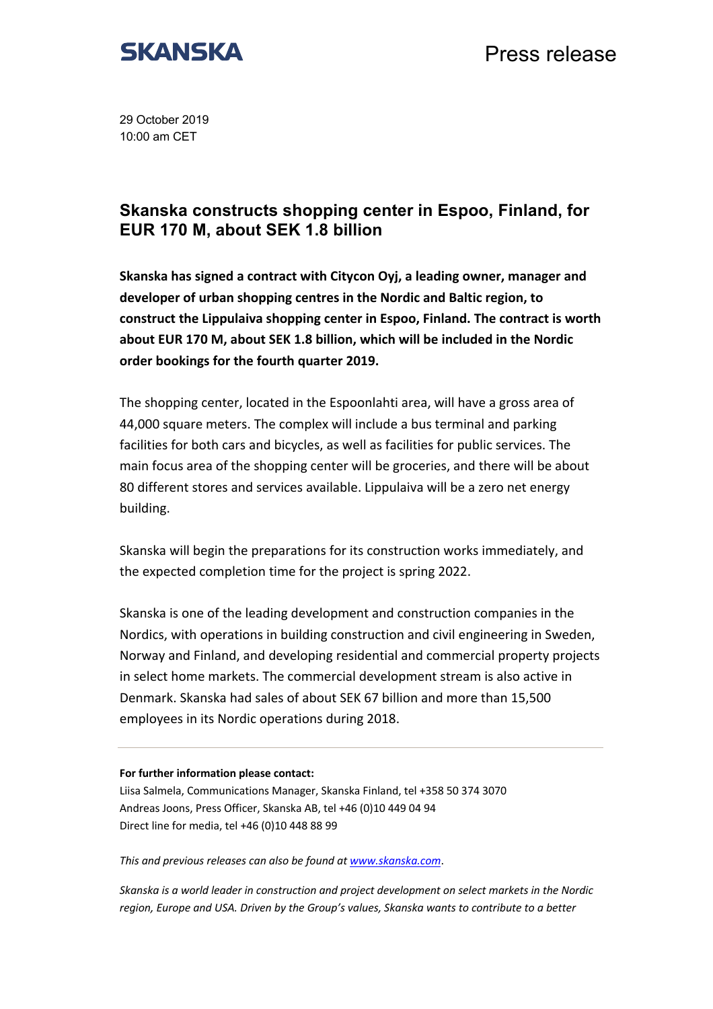

Press release

29 October 2019 10:00 am CET

## **Skanska constructs shopping center in Espoo, Finland, for EUR 170 M, about SEK 1.8 billion**

**Skanska has signed a contract with Citycon Oyj, a leading owner, manager and developer of urban shopping centres in the Nordic and Baltic region, to construct the Lippulaiva shopping center in Espoo, Finland. The contract is worth about EUR 170 M, about SEK 1.8 billion, which will be included in the Nordic order bookings for the fourth quarter 2019.** 

The shopping center, located in the Espoonlahti area, will have a gross area of 44,000 square meters. The complex will include a bus terminal and parking facilities for both cars and bicycles, as well as facilities for public services. The main focus area of the shopping center will be groceries, and there will be about 80 different stores and services available. Lippulaiva will be a zero net energy building.

Skanska will begin the preparations for its construction works immediately, and the expected completion time for the project is spring 2022.

Skanska is one of the leading development and construction companies in the Nordics, with operations in building construction and civil engineering in Sweden, Norway and Finland, and developing residential and commercial property projects in select home markets. The commercial development stream is also active in Denmark. Skanska had sales of about SEK 67 billion and more than 15,500 employees in its Nordic operations during 2018.

## **For further information please contact:**

Liisa Salmela, Communications Manager, Skanska Finland, tel +358 50 374 3070 Andreas Joons, Press Officer, Skanska AB, tel +46 (0)10 449 04 94 Direct line for media, tel +46 (0)10 448 88 99

*This and previous releases can also be found at www.skanska.com*.

*Skanska is a world leader in construction and project development on select markets in the Nordic region, Europe and USA. Driven by the Group's values, Skanska wants to contribute to a better*